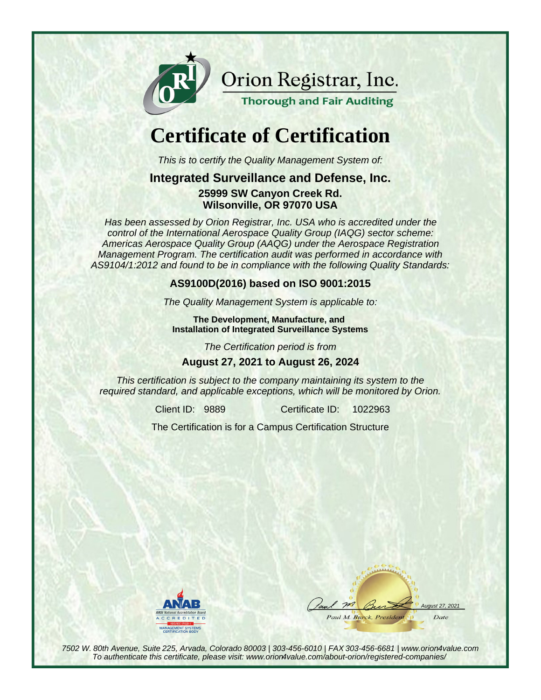

Orion Registrar, Inc.

**Thorough and Fair Auditing** 

# **Certificate of Certification**

This is to certify the Quality Management System of:

#### **Integrated Surveillance and Defense, Inc.**

**25999 SW Canyon Creek Rd. Wilsonville, OR 97070 USA**

Has been assessed by Orion Registrar, Inc. USA who is accredited under the control of the International Aerospace Quality Group (IAQG) sector scheme: Americas Aerospace Quality Group (AAQG) under the Aerospace Registration Management Program. The certification audit was performed in accordance with AS9104/1:2012 and found to be in compliance with the following Quality Standards:

#### **AS9100D(2016) based on ISO 9001:2015**

The Quality Management System is applicable to:

**The Development, Manufacture, and Installation of Integrated Surveillance Systems**

The Certification period is from

#### **August 27, 2021 to August 26, 2024**

This certification is subject to the company maintaining its system to the required standard, and applicable exceptions, which will be monitored by Orion.

Client ID: 9889 Certificate ID:

1022963

The Certification is for a Campus Certification Structure



aust 27, 2021 Paul M. Burck, Presidem Date

7502 W. 80th Avenue, Suite 225, Arvada, Colorado 80003 | 303-456-6010 | FAX 303-456-6681 | www.orion4value.com To authenticate this certificate, please visit: www.orion4value.com/about-orion/registered-companies/